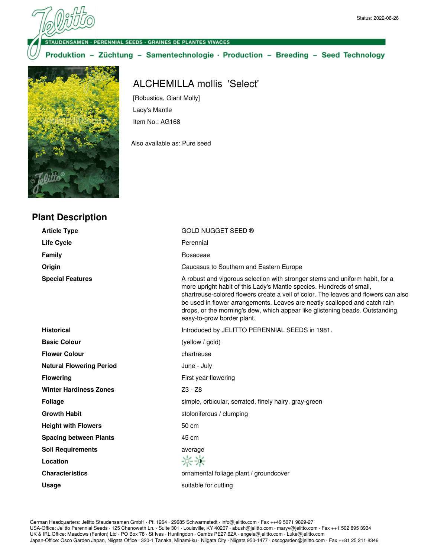ENSAMEN - PERENNIAL SEEDS - GRAINES DE PLANTES VIVACES

Produktion - Züchtung - Samentechnologie · Production - Breeding - Seed Technology



## ALCHEMILLA mollis 'Select'

[Robustica, Giant Molly] Lady's Mantle Item No.: AG168

Also available as: Pure seed

| GOLD NUGGET SEED ®                                                                                                                                                                                                                                                                                                                                                                                                                      |  |
|-----------------------------------------------------------------------------------------------------------------------------------------------------------------------------------------------------------------------------------------------------------------------------------------------------------------------------------------------------------------------------------------------------------------------------------------|--|
|                                                                                                                                                                                                                                                                                                                                                                                                                                         |  |
| Perennial                                                                                                                                                                                                                                                                                                                                                                                                                               |  |
| Rosaceae                                                                                                                                                                                                                                                                                                                                                                                                                                |  |
| Caucasus to Southern and Eastern Europe                                                                                                                                                                                                                                                                                                                                                                                                 |  |
| A robust and vigorous selection with stronger stems and uniform habit, for a<br>more upright habit of this Lady's Mantle species. Hundreds of small,<br>chartreuse-colored flowers create a veil of color. The leaves and flowers can also<br>be used in flower arrangements. Leaves are neatly scalloped and catch rain<br>drops, or the morning's dew, which appear like glistening beads. Outstanding,<br>easy-to-grow border plant. |  |
| Introduced by JELITTO PERENNIAL SEEDS in 1981.                                                                                                                                                                                                                                                                                                                                                                                          |  |
| (yellow / gold)                                                                                                                                                                                                                                                                                                                                                                                                                         |  |
| chartreuse                                                                                                                                                                                                                                                                                                                                                                                                                              |  |
| June - July                                                                                                                                                                                                                                                                                                                                                                                                                             |  |
| First year flowering                                                                                                                                                                                                                                                                                                                                                                                                                    |  |
| Z3 - Z8                                                                                                                                                                                                                                                                                                                                                                                                                                 |  |
| simple, orbicular, serrated, finely hairy, gray-green                                                                                                                                                                                                                                                                                                                                                                                   |  |
| stoloniferous / clumping                                                                                                                                                                                                                                                                                                                                                                                                                |  |
| 50 cm                                                                                                                                                                                                                                                                                                                                                                                                                                   |  |
| 45 cm                                                                                                                                                                                                                                                                                                                                                                                                                                   |  |
| average                                                                                                                                                                                                                                                                                                                                                                                                                                 |  |
| 兴兴                                                                                                                                                                                                                                                                                                                                                                                                                                      |  |
| ornamental foliage plant / groundcover                                                                                                                                                                                                                                                                                                                                                                                                  |  |
| suitable for cutting                                                                                                                                                                                                                                                                                                                                                                                                                    |  |
|                                                                                                                                                                                                                                                                                                                                                                                                                                         |  |